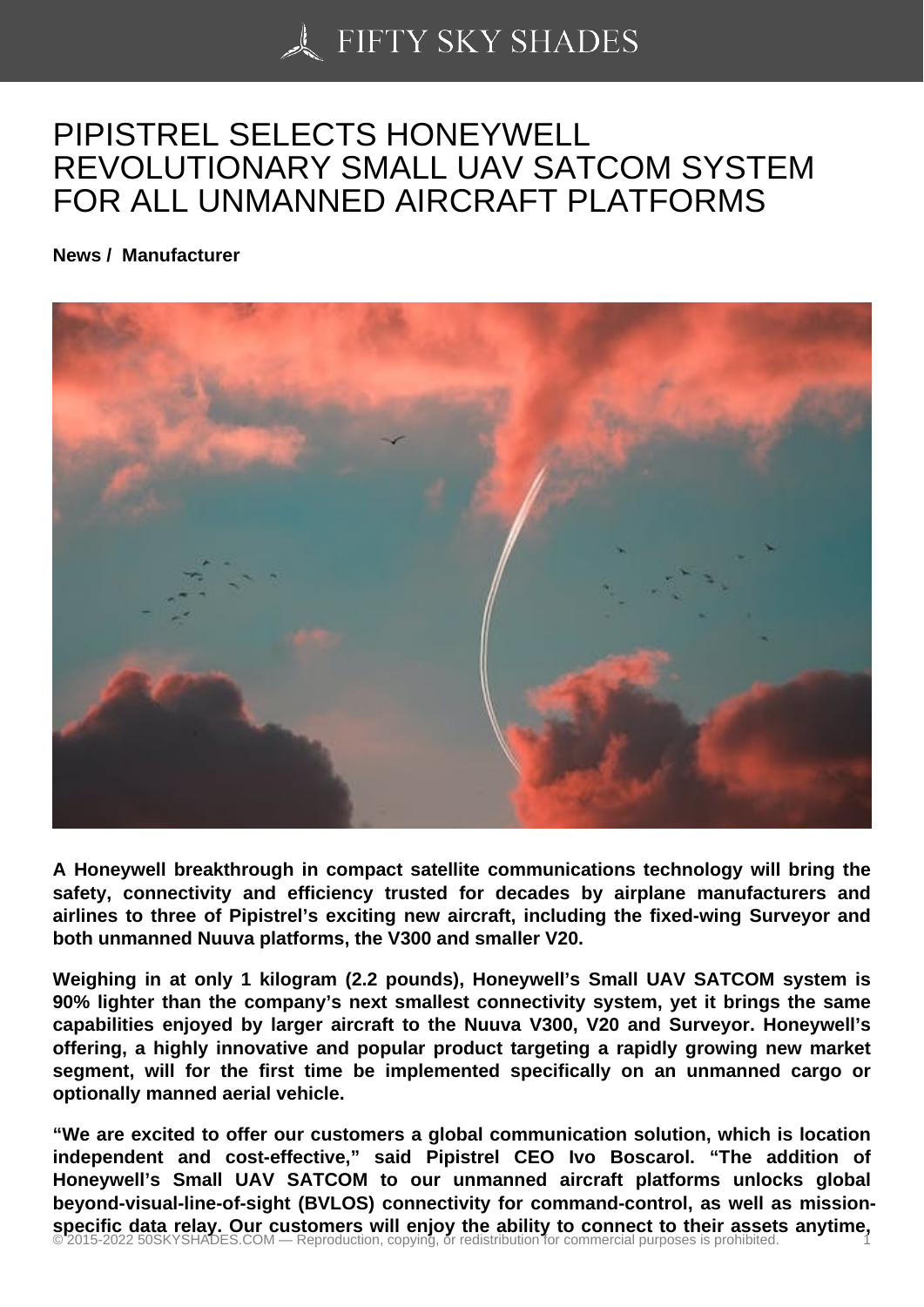## [PIPISTREL SELECTS](https://50skyshades.com) HONEYWELL REVOLUTIONARY SMALL UAV SATCOM SYSTEM FOR ALL UNMANNED AIRCRAFT PLATFORMS

News / Manufacturer

A Honeywell breakthrough in compact satellite communications technology will bring the safety, connectivity and efficiency trusted for decades by airplane manufacturers and airlines to three of Pipistrel's exciting new aircraft, including the fixed-wing Surveyor and both unmanned Nuuva platforms, the V300 and smaller V20.

Weighing in at only 1 kilogram (2.2 pounds), Honeywell's Small UAV SATCOM system is 90% lighter than the company's next smallest connectivity system, yet it brings the same capabilities enjoyed by larger aircraft to the Nuuva V300, V20 and Surveyor. Honeywell's offering, a highly innovative and popular product targeting a rapidly growing new market segment, will for the first time be implemented specifically on an unmanned cargo or optionally manned aerial vehicle.

"We are excited to offer our customers a global communication solution, which is location independent and cost-effective," said Pipistrel CEO Ivo Boscarol. "The addition of Honeywell's Small UAV SATCOM to our unmanned aircraft platforms unlocks global beyond-visual-line-of-sight (BVLOS) connectivity for command-control, as well as missionspecific data relay. Our customers will enjoy the ability to connect to their assets anytime,<br>© 2015-2022 50SKYSHADES.COM — Reproduction, copying, or redistribution for commercial purposes is prohibited.